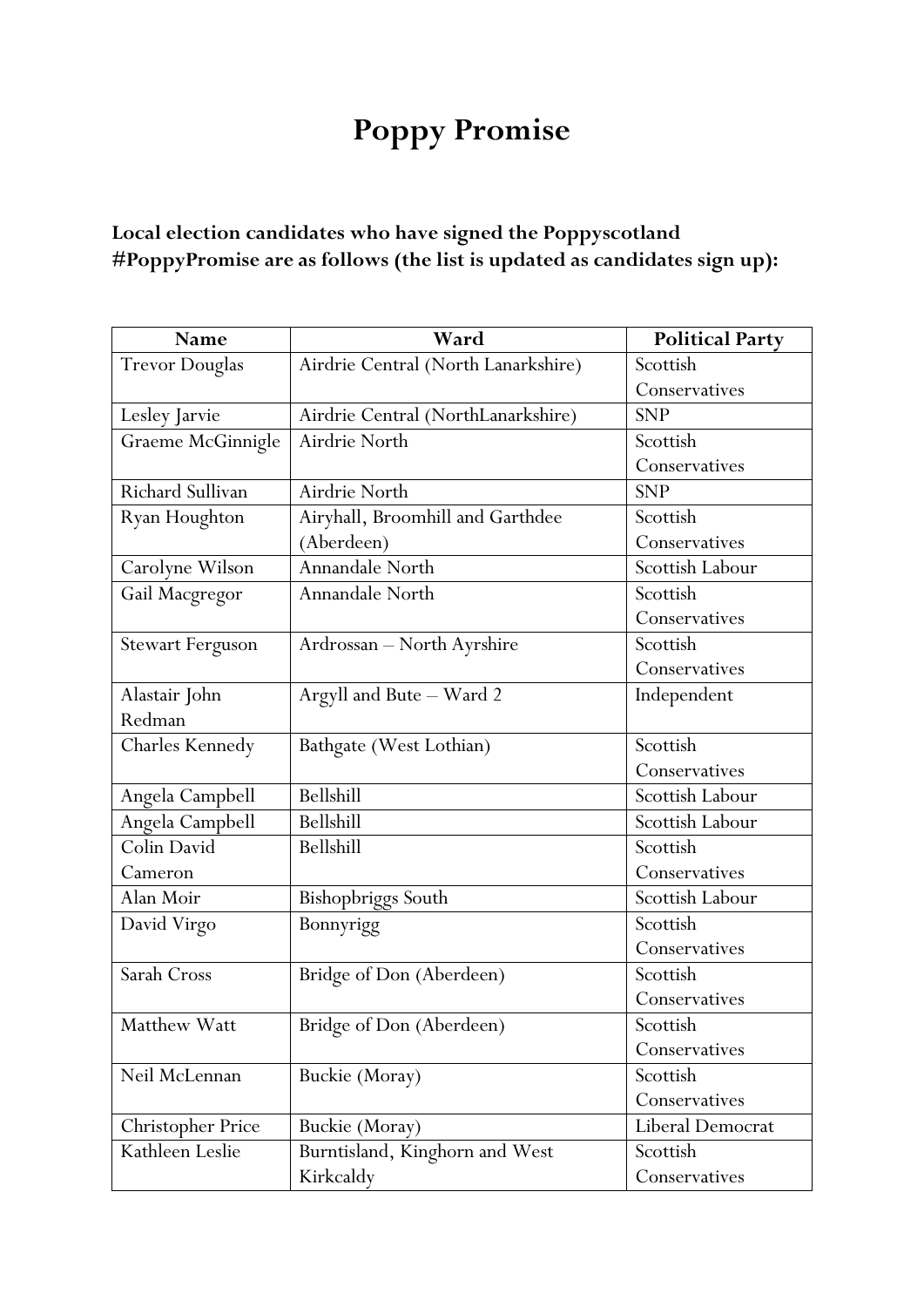## **Poppy Promise**

## **Local election candidates who have signed the Poppyscotland #PoppyPromise are as follows (the list is updated as candidates sign up):**

| Name                     | Ward                                | <b>Political Party</b> |
|--------------------------|-------------------------------------|------------------------|
| <b>Trevor Douglas</b>    | Airdrie Central (North Lanarkshire) | Scottish               |
|                          |                                     | Conservatives          |
| Lesley Jarvie            | Airdrie Central (NorthLanarkshire)  | <b>SNP</b>             |
| Graeme McGinnigle        | Airdrie North                       | Scottish               |
|                          |                                     | Conservatives          |
| <b>Richard Sullivan</b>  | Airdrie North                       | <b>SNP</b>             |
| Ryan Houghton            | Airyhall, Broomhill and Garthdee    | Scottish               |
|                          | (Aberdeen)                          | Conservatives          |
| Carolyne Wilson          | Annandale North                     | Scottish Labour        |
| Gail Macgregor           | Annandale North                     | Scottish               |
|                          |                                     | Conservatives          |
| <b>Stewart Ferguson</b>  | Ardrossan - North Ayrshire          | Scottish               |
|                          |                                     | Conservatives          |
| Alastair John            | Argyll and Bute - Ward 2            | Independent            |
| Redman                   |                                     |                        |
| Charles Kennedy          | Bathgate (West Lothian)             | Scottish               |
|                          |                                     | Conservatives          |
| Angela Campbell          | Bellshill                           | Scottish Labour        |
| Angela Campbell          | Bellshill                           | Scottish Labour        |
| Colin David              | Bellshill                           | Scottish               |
| Cameron                  |                                     | Conservatives          |
| Alan Moir                | Bishopbriggs South                  | Scottish Labour        |
| David Virgo              | Bonnyrigg                           | Scottish               |
|                          |                                     | Conservatives          |
| Sarah Cross              | Bridge of Don (Aberdeen)            | Scottish               |
|                          |                                     | Conservatives          |
| Matthew Watt             | Bridge of Don (Aberdeen)            | Scottish               |
|                          |                                     | Conservatives          |
| Neil McLennan            | Buckie (Moray)                      | Scottish               |
|                          |                                     | Conservatives          |
| <b>Christopher Price</b> | Buckie (Moray)                      | Liberal Democrat       |
| Kathleen Leslie          | Burntisland, Kinghorn and West      | Scottish               |
|                          | Kirkcaldy                           | Conservatives          |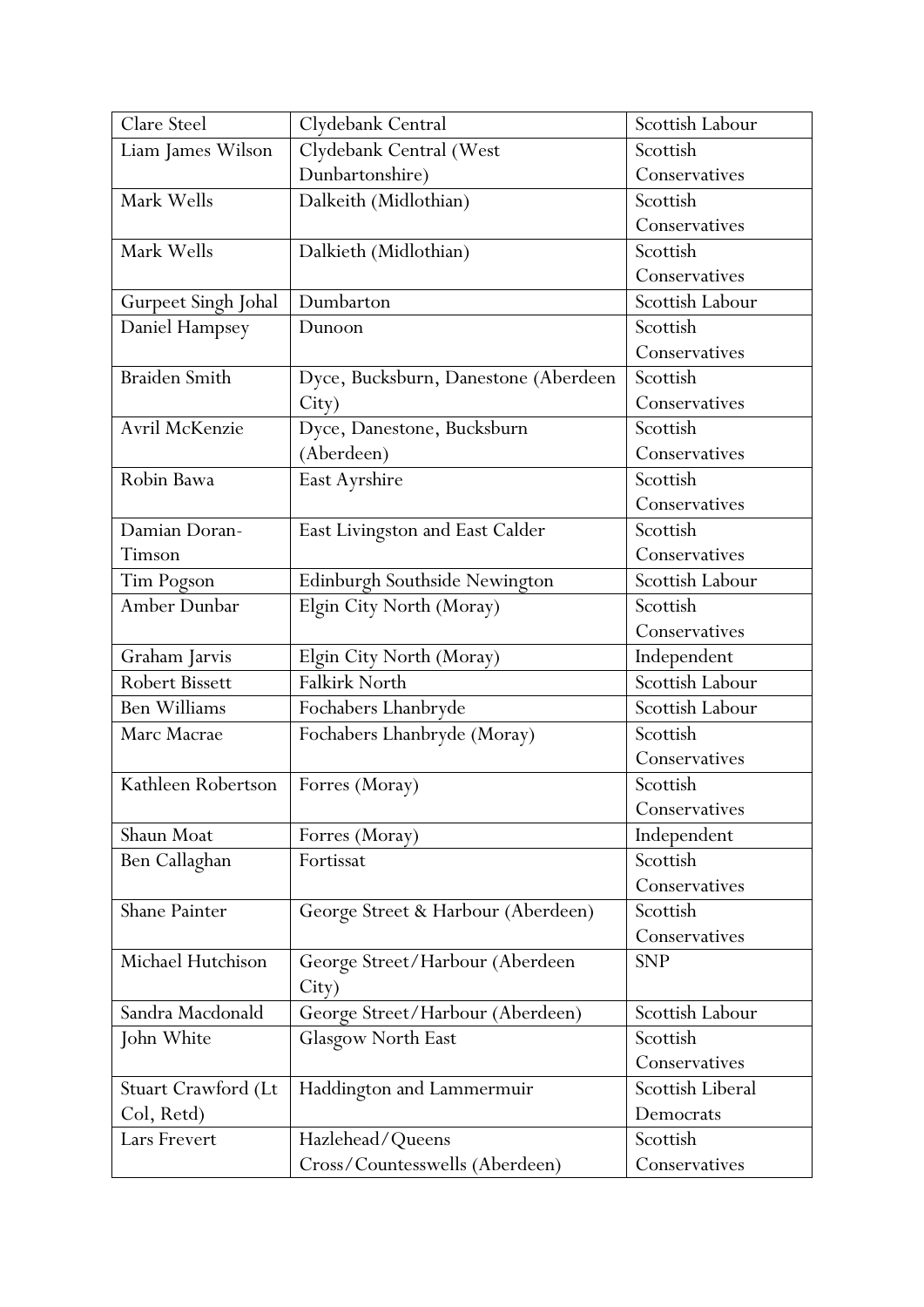| Clare Steel           | Clydebank Central                    | Scottish Labour  |
|-----------------------|--------------------------------------|------------------|
| Liam James Wilson     | Clydebank Central (West              | Scottish         |
|                       | Dunbartonshire)                      | Conservatives    |
| Mark Wells            | Dalkeith (Midlothian)                | Scottish         |
|                       |                                      | Conservatives    |
| Mark Wells            | Dalkieth (Midlothian)                | Scottish         |
|                       |                                      | Conservatives    |
| Gurpeet Singh Johal   | Dumbarton                            | Scottish Labour  |
| Daniel Hampsey        | Dunoon                               | Scottish         |
|                       |                                      | Conservatives    |
| <b>Braiden Smith</b>  | Dyce, Bucksburn, Danestone (Aberdeen | Scottish         |
|                       | City)                                | Conservatives    |
| Avril McKenzie        | Dyce, Danestone, Bucksburn           | Scottish         |
|                       | (Aberdeen)                           | Conservatives    |
| Robin Bawa            | East Ayrshire                        | Scottish         |
|                       |                                      | Conservatives    |
| Damian Doran-         | East Livingston and East Calder      | Scottish         |
| Timson                |                                      | Conservatives    |
| Tim Pogson            | Edinburgh Southside Newington        | Scottish Labour  |
| Amber Dunbar          | Elgin City North (Moray)             | Scottish         |
|                       |                                      | Conservatives    |
| Graham Jarvis         | Elgin City North (Moray)             | Independent      |
| <b>Robert Bissett</b> | Falkirk North                        | Scottish Labour  |
| <b>Ben Williams</b>   | Fochabers Lhanbryde                  | Scottish Labour  |
| Marc Macrae           | Fochabers Lhanbryde (Moray)          | Scottish         |
|                       |                                      | Conservatives    |
| Kathleen Robertson    | Forres (Moray)                       | Scottish         |
|                       |                                      | Conservatives    |
| Shaun Moat            | Forres (Moray)                       | Independent      |
| Ben Callaghan         | Fortissat                            | Scottish         |
|                       |                                      | Conservatives    |
| Shane Painter         | George Street & Harbour (Aberdeen)   | Scottish         |
|                       |                                      | Conservatives    |
| Michael Hutchison     | George Street/Harbour (Aberdeen      | <b>SNP</b>       |
|                       | City)                                |                  |
| Sandra Macdonald      | George Street/Harbour (Aberdeen)     | Scottish Labour  |
| John White            | Glasgow North East                   | Scottish         |
|                       |                                      | Conservatives    |
| Stuart Crawford (Lt   | Haddington and Lammermuir            | Scottish Liberal |
| Col, Retd)            |                                      | Democrats        |
| Lars Frevert          | Hazlehead/Queens                     | Scottish         |
|                       | Cross/Countesswells (Aberdeen)       | Conservatives    |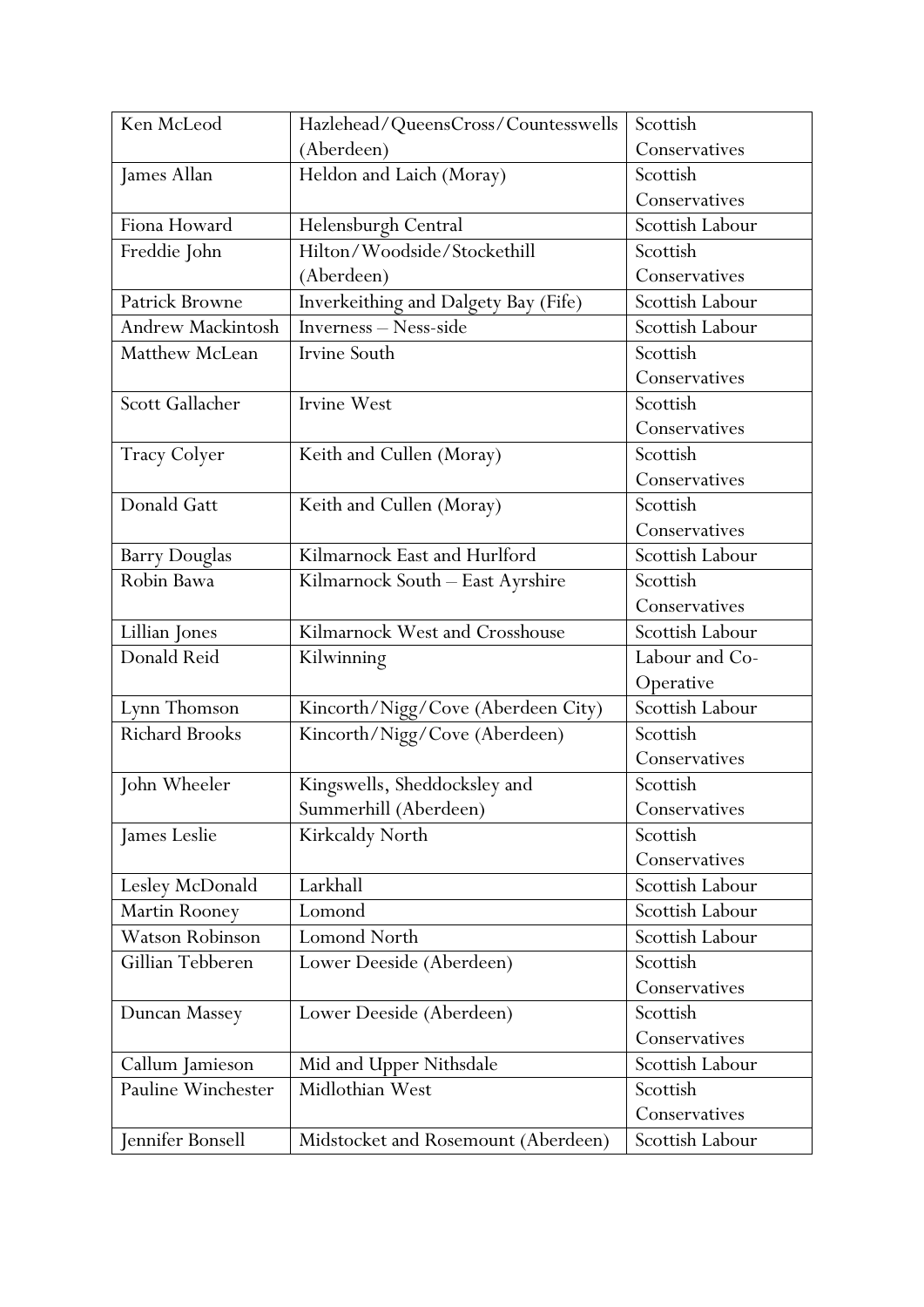| Ken McLeod               | Hazlehead/QueensCross/Countesswells  | Scottish        |
|--------------------------|--------------------------------------|-----------------|
|                          | (Aberdeen)                           | Conservatives   |
| James Allan              | Heldon and Laich (Moray)             | Scottish        |
|                          |                                      | Conservatives   |
| Fiona Howard             | Helensburgh Central                  | Scottish Labour |
| Freddie John             | Hilton/Woodside/Stockethill          | Scottish        |
|                          | (Aberdeen)                           | Conservatives   |
| <b>Patrick Browne</b>    | Inverkeithing and Dalgety Bay (Fife) | Scottish Labour |
| <b>Andrew Mackintosh</b> | Inverness - Ness-side                | Scottish Labour |
| Matthew McLean           | Irvine South                         | Scottish        |
|                          |                                      | Conservatives   |
| Scott Gallacher          | Irvine West                          | Scottish        |
|                          |                                      | Conservatives   |
| <b>Tracy Colyer</b>      | Keith and Cullen (Moray)             | Scottish        |
|                          |                                      | Conservatives   |
| Donald Gatt              | Keith and Cullen (Moray)             | Scottish        |
|                          |                                      | Conservatives   |
| <b>Barry Douglas</b>     | Kilmarnock East and Hurlford         | Scottish Labour |
| Robin Bawa               | Kilmarnock South - East Ayrshire     | Scottish        |
|                          |                                      | Conservatives   |
| Lillian Jones            | Kilmarnock West and Crosshouse       | Scottish Labour |
| Donald Reid              | Kilwinning                           | Labour and Co-  |
|                          |                                      | Operative       |
| Lynn Thomson             | Kincorth/Nigg/Cove (Aberdeen City)   | Scottish Labour |
| Richard Brooks           | Kincorth/Nigg/Cove (Aberdeen)        | Scottish        |
|                          |                                      | Conservatives   |
| John Wheeler             | Kingswells, Sheddocksley and         | Scottish        |
|                          | Summerhill (Aberdeen)                | Conservatives   |
| James Leslie             | Kirkcaldy North                      | Scottish        |
|                          |                                      | Conservatives   |
| Lesley McDonald          | Larkhall                             | Scottish Labour |
| Martin Rooney            | Lomond                               | Scottish Labour |
| <b>Watson Robinson</b>   | <b>Lomond North</b>                  | Scottish Labour |
| Gillian Tebberen         | Lower Deeside (Aberdeen)             | Scottish        |
|                          |                                      | Conservatives   |
| Duncan Massey            | Lower Deeside (Aberdeen)             | Scottish        |
|                          |                                      | Conservatives   |
| Callum Jamieson          | Mid and Upper Nithsdale              | Scottish Labour |
| Pauline Winchester       | Midlothian West                      | Scottish        |
|                          |                                      | Conservatives   |
| Jennifer Bonsell         | Midstocket and Rosemount (Aberdeen)  | Scottish Labour |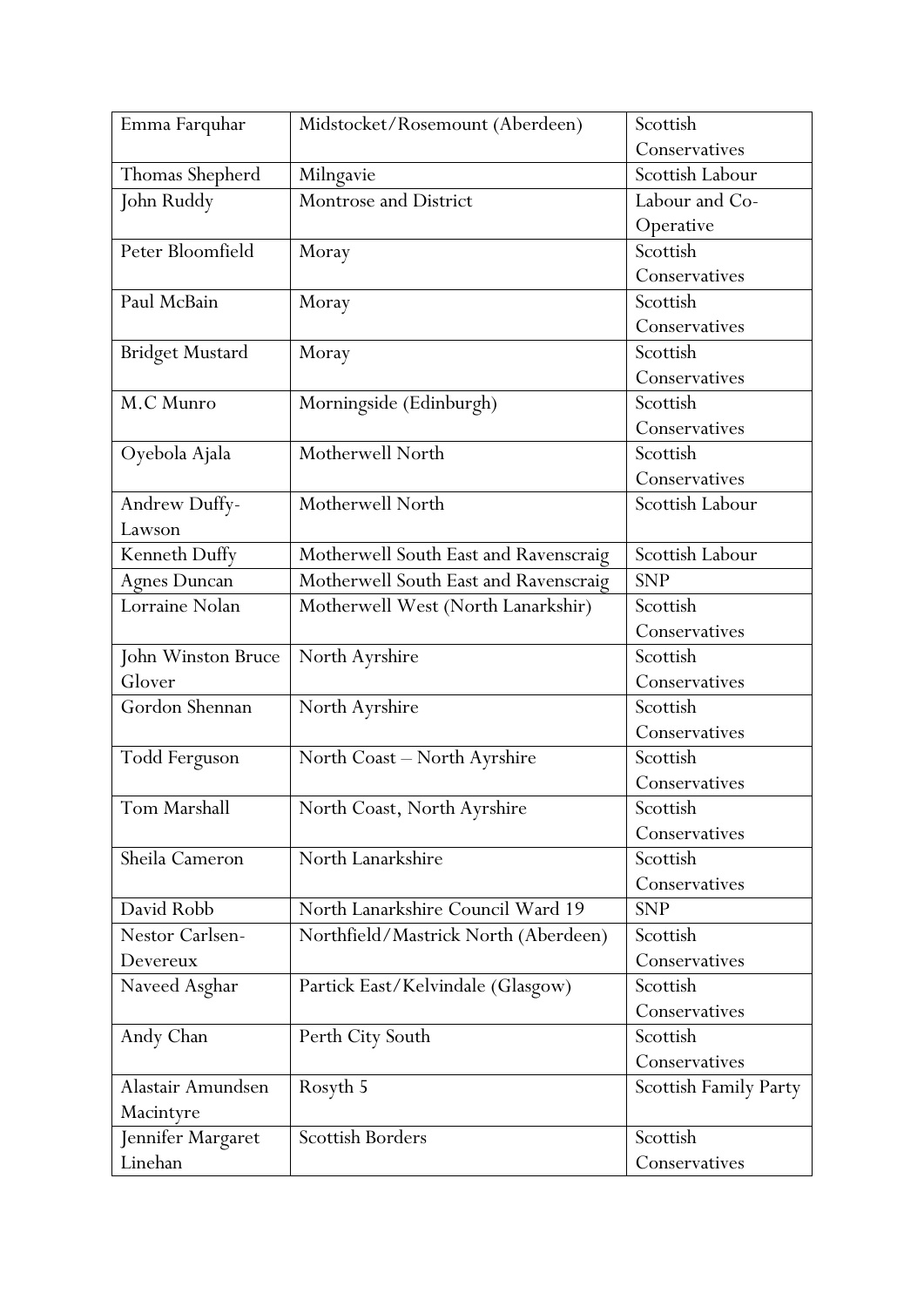| Emma Farquhar          | Midstocket/Rosemount (Aberdeen)       | Scottish              |
|------------------------|---------------------------------------|-----------------------|
|                        |                                       | Conservatives         |
| Thomas Shepherd        | Milngavie                             | Scottish Labour       |
| John Ruddy             | Montrose and District                 | Labour and Co-        |
|                        |                                       | Operative             |
| Peter Bloomfield       | Moray                                 | Scottish              |
|                        |                                       | Conservatives         |
| Paul McBain            | Moray                                 | Scottish              |
|                        |                                       | Conservatives         |
| <b>Bridget Mustard</b> | Moray                                 | Scottish              |
|                        |                                       | Conservatives         |
| M.C Munro              | Morningside (Edinburgh)               | Scottish              |
|                        |                                       | Conservatives         |
| Oyebola Ajala          | Motherwell North                      | Scottish              |
|                        |                                       | Conservatives         |
| Andrew Duffy-          | Motherwell North                      | Scottish Labour       |
| Lawson                 |                                       |                       |
| Kenneth Duffy          | Motherwell South East and Ravenscraig | Scottish Labour       |
| <b>Agnes Duncan</b>    | Motherwell South East and Ravenscraig | <b>SNP</b>            |
| Lorraine Nolan         | Motherwell West (North Lanarkshir)    | Scottish              |
|                        |                                       | Conservatives         |
| John Winston Bruce     | North Ayrshire                        | Scottish              |
| Glover                 |                                       | Conservatives         |
| Gordon Shennan         | North Ayrshire                        | Scottish              |
|                        |                                       | Conservatives         |
| <b>Todd Ferguson</b>   | North Coast - North Ayrshire          | Scottish              |
|                        |                                       | Conservatives         |
| Tom Marshall           | North Coast, North Ayrshire           | Scottish              |
|                        |                                       | Conservatives         |
| Sheila Cameron         | North Lanarkshire                     | Scottish              |
|                        |                                       | Conservatives         |
| David Robb             | North Lanarkshire Council Ward 19     | <b>SNP</b>            |
| Nestor Carlsen-        | Northfield/Mastrick North (Aberdeen)  | Scottish              |
| Devereux               |                                       | Conservatives         |
| Naveed Asghar          | Partick East/Kelvindale (Glasgow)     | Scottish              |
|                        |                                       | Conservatives         |
| Andy Chan              | Perth City South                      | Scottish              |
|                        |                                       | Conservatives         |
| Alastair Amundsen      | Rosyth 5                              | Scottish Family Party |
| Macintyre              |                                       |                       |
| Jennifer Margaret      | <b>Scottish Borders</b>               | Scottish              |
| Linehan                |                                       | Conservatives         |